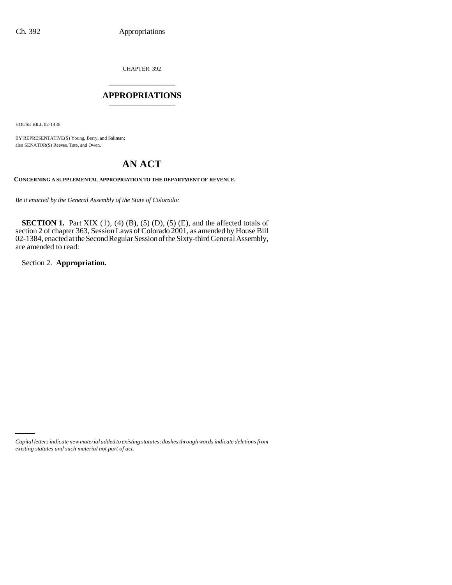CHAPTER 392 \_\_\_\_\_\_\_\_\_\_\_\_\_\_\_

### **APPROPRIATIONS** \_\_\_\_\_\_\_\_\_\_\_\_\_\_\_

HOUSE BILL 02-1436

BY REPRESENTATIVE(S) Young, Berry, and Saliman; also SENATOR(S) Reeves, Tate, and Owen.

# **AN ACT**

**CONCERNING A SUPPLEMENTAL APPROPRIATION TO THE DEPARTMENT OF REVENUE.**

*Be it enacted by the General Assembly of the State of Colorado:*

**SECTION 1.** Part XIX (1), (4) (B), (5) (D), (5) (E), and the affected totals of section 2 of chapter 363, Session Laws of Colorado 2001, as amended by House Bill 02-1384, enacted at the Second Regular Session of the Sixty-third General Assembly, are amended to read:

Section 2. **Appropriation.**

*Capital letters indicate new material added to existing statutes; dashes through words indicate deletions from existing statutes and such material not part of act.*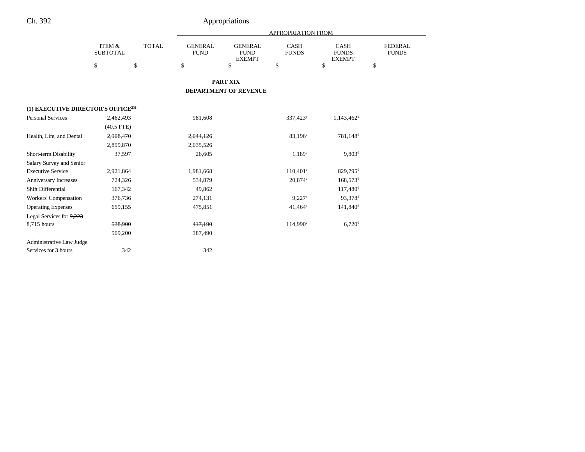# Ch. 392 Appropriations

|                                                |                                      |              | APPROPRIATION FROM            |                                                |                             |                                              |                                |  |  |
|------------------------------------------------|--------------------------------------|--------------|-------------------------------|------------------------------------------------|-----------------------------|----------------------------------------------|--------------------------------|--|--|
|                                                | <b>ITEM &amp;</b><br><b>SUBTOTAL</b> | <b>TOTAL</b> | <b>GENERAL</b><br><b>FUND</b> | <b>GENERAL</b><br><b>FUND</b><br><b>EXEMPT</b> | <b>CASH</b><br><b>FUNDS</b> | <b>CASH</b><br><b>FUNDS</b><br><b>EXEMPT</b> | <b>FEDERAL</b><br><b>FUNDS</b> |  |  |
|                                                | \$                                   | \$           | \$                            | \$                                             | \$                          | \$                                           | \$                             |  |  |
|                                                |                                      |              |                               | <b>PART XIX</b>                                |                             |                                              |                                |  |  |
|                                                |                                      |              |                               | <b>DEPARTMENT OF REVENUE</b>                   |                             |                                              |                                |  |  |
| (1) EXECUTIVE DIRECTOR'S OFFICE <sup>231</sup> |                                      |              |                               |                                                |                             |                                              |                                |  |  |
| <b>Personal Services</b>                       | 2,462,493                            |              | 981,608                       |                                                | 337,423 <sup>a</sup>        | $1,143,462^b$                                |                                |  |  |
|                                                | $(40.5$ FTE)                         |              |                               |                                                |                             |                                              |                                |  |  |
| Health, Life, and Dental                       | 2,908,470                            |              | 2,044,126                     |                                                | 83,196 <sup>c</sup>         | 781,148 <sup>d</sup>                         |                                |  |  |
|                                                | 2,899,870                            |              | 2,035,526                     |                                                |                             |                                              |                                |  |  |
| Short-term Disability                          | 37,597                               |              | 26,605                        |                                                | 1.189 <sup>c</sup>          | $9,803^d$                                    |                                |  |  |
| Salary Survey and Senior                       |                                      |              |                               |                                                |                             |                                              |                                |  |  |
| <b>Executive Service</b>                       | 2,921,864                            |              | 1,981,668                     |                                                | $110,401^{\circ}$           | 829,795 <sup>d</sup>                         |                                |  |  |
| <b>Anniversary Increases</b>                   | 724,326                              |              | 534,879                       |                                                | 20,874c                     | $168,573$ <sup>d</sup>                       |                                |  |  |
| Shift Differential                             | 167,342                              |              | 49,862                        |                                                |                             | $117,480$ <sup>d</sup>                       |                                |  |  |
| <b>Workers' Compensation</b>                   | 376,736                              |              | 274,131                       |                                                | 9.227c                      | 93,378 <sup>d</sup>                          |                                |  |  |
| <b>Operating Expenses</b>                      | 659,155                              |              | 475,851                       |                                                | $41.464^{\circ}$            | $141,840$ <sup>d</sup>                       |                                |  |  |
| Legal Services for 9,223                       |                                      |              |                               |                                                |                             |                                              |                                |  |  |
| 8,715 hours                                    | 538,900                              |              | 417,190                       |                                                | 114,990 <sup>c</sup>        | $6,720$ <sup>d</sup>                         |                                |  |  |
|                                                | 509,200                              |              | 387,490                       |                                                |                             |                                              |                                |  |  |
| <b>Administrative Law Judge</b>                |                                      |              |                               |                                                |                             |                                              |                                |  |  |
| Services for 3 hours                           |                                      | 342          | 342                           |                                                |                             |                                              |                                |  |  |
|                                                |                                      |              |                               |                                                |                             |                                              |                                |  |  |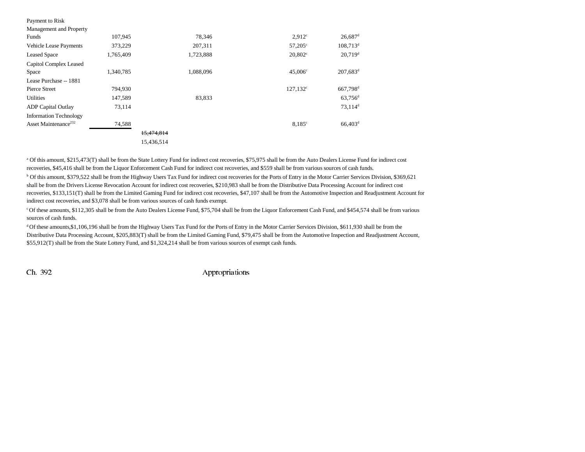| Payment to Risk                  |           |            |           |                    |                        |
|----------------------------------|-----------|------------|-----------|--------------------|------------------------|
| Management and Property          |           |            |           |                    |                        |
| Funds                            | 107,945   |            | 78,346    | 2.912 <sup>c</sup> | $26,687$ <sup>d</sup>  |
| Vehicle Lease Payments           | 373,229   |            | 207,311   | $57,205^{\circ}$   | $108,713$ <sup>d</sup> |
| <b>Leased Space</b>              | 1,765,409 |            | 1,723,888 | $20,802^\circ$     | $20,719$ <sup>d</sup>  |
| Capitol Complex Leased           |           |            |           |                    |                        |
| Space                            | 1,340,785 |            | 1,088,096 | $45,006^{\circ}$   | $207,683$ <sup>d</sup> |
| Lease Purchase -- 1881           |           |            |           |                    |                        |
| Pierce Street                    | 794,930   |            |           | $127,132^{\circ}$  | 667,798 <sup>d</sup>   |
| <b>Utilities</b>                 | 147,589   |            | 83,833    |                    | $63,756$ <sup>d</sup>  |
| <b>ADP</b> Capital Outlay        | 73,114    |            |           |                    | $73,114$ <sup>d</sup>  |
| <b>Information Technology</b>    |           |            |           |                    |                        |
| Asset Maintenance <sup>232</sup> | 74,588    |            |           | 8.185c             | $66,403$ <sup>d</sup>  |
|                                  |           | 15,474,814 |           |                    |                        |
|                                  |           | 15,436,514 |           |                    |                        |

a Of this amount, \$215,473(T) shall be from the State Lottery Fund for indirect cost recoveries, \$75,975 shall be from the Auto Dealers License Fund for indirect cost recoveries, \$45,416 shall be from the Liquor Enforcement Cash Fund for indirect cost recoveries, and \$559 shall be from various sources of cash funds.

b Of this amount, \$379,522 shall be from the Highway Users Tax Fund for indirect cost recoveries for the Ports of Entry in the Motor Carrier Services Division, \$369,621 shall be from the Drivers License Revocation Account for indirect cost recoveries, \$210,983 shall be from the Distributive Data Processing Account for indirect cost recoveries, \$133,151(T) shall be from the Limited Gaming Fund for indirect cost recoveries, \$47,107 shall be from the Automotive Inspection and Readjustment Account for indirect cost recoveries, and \$3,078 shall be from various sources of cash funds exempt.

c Of these amounts, \$112,305 shall be from the Auto Dealers License Fund, \$75,704 shall be from the Liquor Enforcement Cash Fund, and \$454,574 shall be from various sources of cash funds.

 $d$  Of these amounts,\$1,106,196 shall be from the Highway Users Tax Fund for the Ports of Entry in the Motor Carrier Services Division, \$611,930 shall be from the Distributive Data Processing Account, \$205,883(T) shall be from the Limited Gaming Fund, \$79,475 shall be from the Automotive Inspection and Readjustment Account, \$55,912(T) shall be from the State Lottery Fund, and \$1,324,214 shall be from various sources of exempt cash funds.

Ch. 392 Appropriations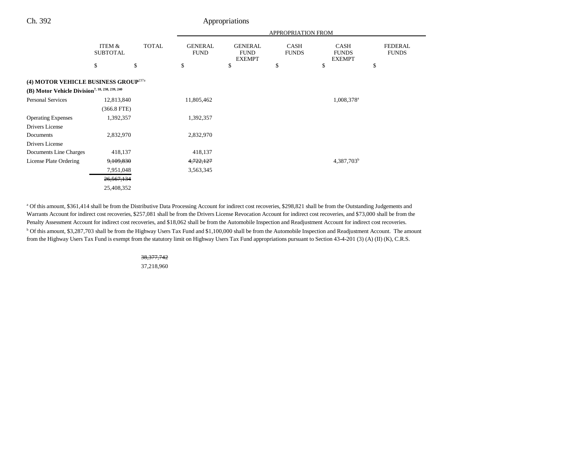## Ch. 392 Appropriations

|                                                                                                                |                           |              | APPROPRIATION FROM            |                                                |                             |                                              |                                |
|----------------------------------------------------------------------------------------------------------------|---------------------------|--------------|-------------------------------|------------------------------------------------|-----------------------------|----------------------------------------------|--------------------------------|
|                                                                                                                | ITEM &<br><b>SUBTOTAL</b> | <b>TOTAL</b> | <b>GENERAL</b><br><b>FUND</b> | <b>GENERAL</b><br><b>FUND</b><br><b>EXEMPT</b> | <b>CASH</b><br><b>FUNDS</b> | <b>CASH</b><br><b>FUNDS</b><br><b>EXEMPT</b> | <b>FEDERAL</b><br><b>FUNDS</b> |
|                                                                                                                | \$                        | \$           | \$                            | \$                                             | \$                          | \$                                           | \$                             |
| (4) MOTOR VEHICLE BUSINESS GROUP <sup>237a</sup><br>(B) Motor Vehicle Division <sup>7, 18, 238, 239, 240</sup> |                           |              |                               |                                                |                             |                                              |                                |
| <b>Personal Services</b>                                                                                       | 12,813,840                |              | 11,805,462                    |                                                |                             | 1,008,378 <sup>a</sup>                       |                                |
|                                                                                                                | $(366.8$ FTE)             |              |                               |                                                |                             |                                              |                                |
| <b>Operating Expenses</b>                                                                                      | 1,392,357                 |              | 1,392,357                     |                                                |                             |                                              |                                |
| Drivers License                                                                                                |                           |              |                               |                                                |                             |                                              |                                |
| Documents                                                                                                      | 2,832,970                 |              | 2,832,970                     |                                                |                             |                                              |                                |
| Drivers License                                                                                                |                           |              |                               |                                                |                             |                                              |                                |
| Documents Line Charges                                                                                         | 418,137                   |              | 418,137                       |                                                |                             |                                              |                                |
| License Plate Ordering                                                                                         | 9,109,830                 |              | <del>4,722,127</del>          |                                                |                             | 4,387,703 <sup>b</sup>                       |                                |
|                                                                                                                | 7,951,048                 |              | 3,563,345                     |                                                |                             |                                              |                                |
|                                                                                                                | 26,567,134                |              |                               |                                                |                             |                                              |                                |
|                                                                                                                | 25,408,352                |              |                               |                                                |                             |                                              |                                |

a Of this amount, \$361,414 shall be from the Distributive Data Processing Account for indirect cost recoveries, \$298,821 shall be from the Outstanding Judgements and Warrants Account for indirect cost recoveries, \$257,081 shall be from the Drivers License Revocation Account for indirect cost recoveries, and \$73,000 shall be from the Penalty Assessment Account for indirect cost recoveries, and \$18,062 shall be from the Automobile Inspection and Readjustment Account for indirect cost recoveries. b Of this amount, \$3,287,703 shall be from the Highway Users Tax Fund and \$1,100,000 shall be from the Automobile Inspection and Readjustment Account. The amount from the Highway Users Tax Fund is exempt from the statutory limit on Highway Users Tax Fund appropriations pursuant to Section 43-4-201 (3) (A) (II) (K), C.R.S.

#### 38,377,742

37,218,960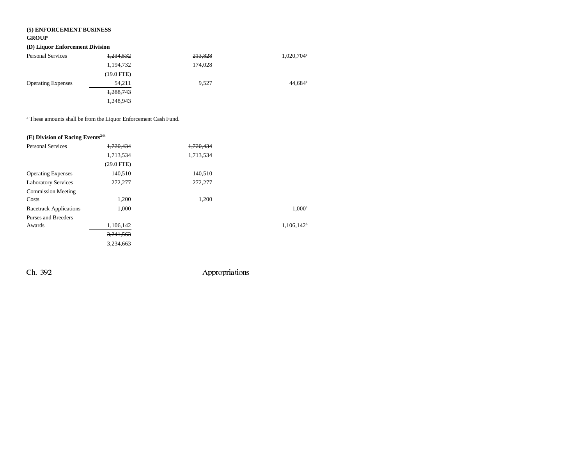# **(5) ENFORCEMENT BUSINESS**

#### **GROUP**

## **(D) Liquor Enforcement Division**

| <b>Personal Services</b>  | 1,234,532            | 213,828 | 1,020,704 <sup>a</sup> |
|---------------------------|----------------------|---------|------------------------|
|                           | 1,194,732            | 174,028 |                        |
|                           | $(19.0 \text{ FTE})$ |         |                        |
| <b>Operating Expenses</b> | 54.211               | 9.527   | $44,684$ <sup>a</sup>  |
|                           | 1,288,743            |         |                        |
|                           | 1.248.943            |         |                        |

a These amounts shall be from the Liquor Enforcement Cash Fund.

# **(E) Division of Racing Events244**

| <b>Personal Services</b>      | 1.720.434    | 1,720,434 |               |
|-------------------------------|--------------|-----------|---------------|
|                               | 1,713,534    | 1,713,534 |               |
|                               | $(29.0$ FTE) |           |               |
| <b>Operating Expenses</b>     | 140,510      | 140,510   |               |
| <b>Laboratory Services</b>    | 272,277      | 272,277   |               |
| <b>Commission Meeting</b>     |              |           |               |
| Costs                         | 1,200        | 1,200     |               |
| <b>Racetrack Applications</b> | 1.000        |           | $1.000^a$     |
| Purses and Breeders           |              |           |               |
| Awards                        | 1,106,142    |           | $1,106,142^b$ |
|                               | 3,241,563    |           |               |
|                               | 3,234,663    |           |               |

Ch. 392 Appropriations